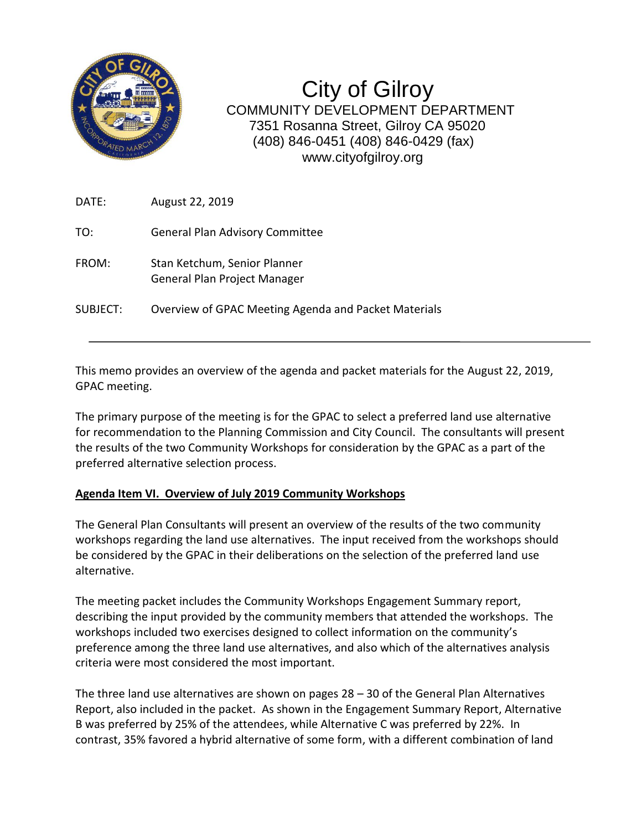

City of Gilroy COMMUNITY DEVELOPMENT DEPARTMENT 7351 Rosanna Street, Gilroy CA 95020 (408) 846-0451 (408) 846-0429 (fax) www.cityofgilroy.org

| DATE:    | August 22, 2019                                              |
|----------|--------------------------------------------------------------|
| TO:      | <b>General Plan Advisory Committee</b>                       |
| FROM:    | Stan Ketchum, Senior Planner<br>General Plan Project Manager |
| SUBJECT: | Overview of GPAC Meeting Agenda and Packet Materials         |

This memo provides an overview of the agenda and packet materials for the August 22, 2019, GPAC meeting.

The primary purpose of the meeting is for the GPAC to select a preferred land use alternative for recommendation to the Planning Commission and City Council. The consultants will present the results of the two Community Workshops for consideration by the GPAC as a part of the preferred alternative selection process.

## **Agenda Item VI. Overview of July 2019 Community Workshops**

The General Plan Consultants will present an overview of the results of the two community workshops regarding the land use alternatives. The input received from the workshops should be considered by the GPAC in their deliberations on the selection of the preferred land use alternative.

The meeting packet includes the Community Workshops Engagement Summary report, describing the input provided by the community members that attended the workshops. The workshops included two exercises designed to collect information on the community's preference among the three land use alternatives, and also which of the alternatives analysis criteria were most considered the most important.

The three land use alternatives are shown on pages 28 – 30 of the General Plan Alternatives Report, also included in the packet. As shown in the Engagement Summary Report, Alternative B was preferred by 25% of the attendees, while Alternative C was preferred by 22%. In contrast, 35% favored a hybrid alternative of some form, with a different combination of land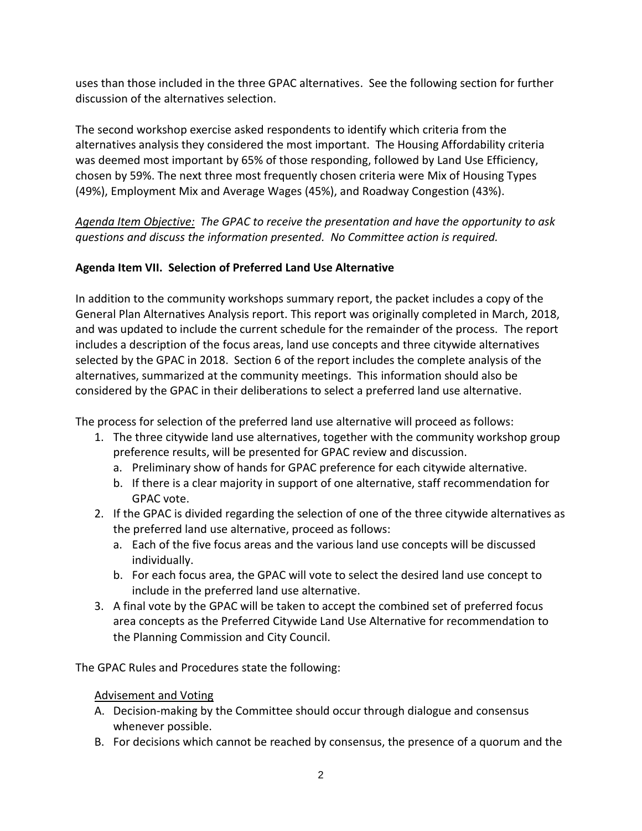uses than those included in the three GPAC alternatives. See the following section for further discussion of the alternatives selection.

The second workshop exercise asked respondents to identify which criteria from the alternatives analysis they considered the most important. The Housing Affordability criteria was deemed most important by 65% of those responding, followed by Land Use Efficiency, chosen by 59%. The next three most frequently chosen criteria were Mix of Housing Types (49%), Employment Mix and Average Wages (45%), and Roadway Congestion (43%).

*Agenda Item Objective: The GPAC to receive the presentation and have the opportunity to ask questions and discuss the information presented. No Committee action is required.*

## **Agenda Item VII. Selection of Preferred Land Use Alternative**

In addition to the community workshops summary report, the packet includes a copy of the General Plan Alternatives Analysis report. This report was originally completed in March, 2018, and was updated to include the current schedule for the remainder of the process. The report includes a description of the focus areas, land use concepts and three citywide alternatives selected by the GPAC in 2018. Section 6 of the report includes the complete analysis of the alternatives, summarized at the community meetings. This information should also be considered by the GPAC in their deliberations to select a preferred land use alternative.

The process for selection of the preferred land use alternative will proceed as follows:

- 1. The three citywide land use alternatives, together with the community workshop group preference results, will be presented for GPAC review and discussion.
	- a. Preliminary show of hands for GPAC preference for each citywide alternative.
	- b. If there is a clear majority in support of one alternative, staff recommendation for GPAC vote.
- 2. If the GPAC is divided regarding the selection of one of the three citywide alternatives as the preferred land use alternative, proceed as follows:
	- a. Each of the five focus areas and the various land use concepts will be discussed individually.
	- b. For each focus area, the GPAC will vote to select the desired land use concept to include in the preferred land use alternative.
- 3. A final vote by the GPAC will be taken to accept the combined set of preferred focus area concepts as the Preferred Citywide Land Use Alternative for recommendation to the Planning Commission and City Council.

The GPAC Rules and Procedures state the following:

## Advisement and Voting

- A. Decision-making by the Committee should occur through dialogue and consensus whenever possible.
- B. For decisions which cannot be reached by consensus, the presence of a quorum and the